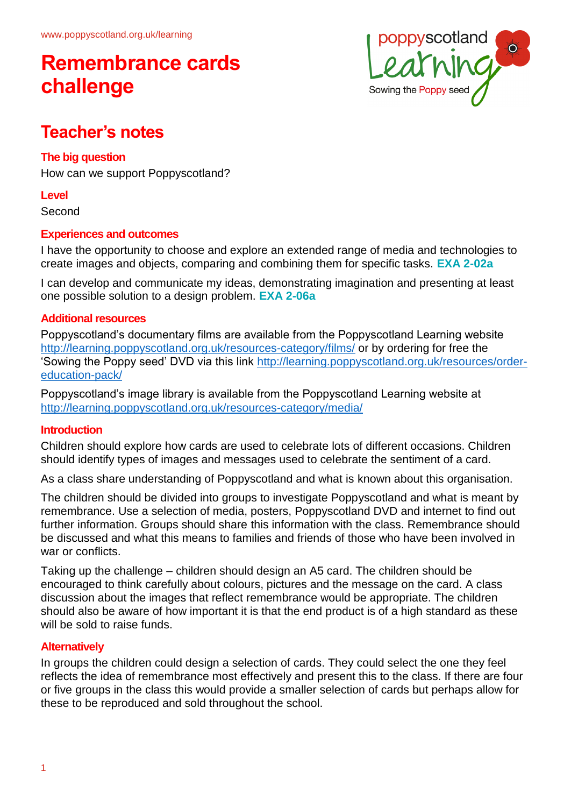

## **Teacher's notes**

### **The big question**

How can we support Poppyscotland?

#### **Level**

Second

### **Experiences and outcomes**

I have the opportunity to choose and explore an extended range of media and technologies to create images and objects, comparing and combining them for specific tasks. **EXA 2-02a**

I can develop and communicate my ideas, demonstrating imagination and presenting at least one possible solution to a design problem. **EXA 2-06a**

#### **Additional resources**

Poppyscotland's documentary films are available from the Poppyscotland Learning website <http://learning.poppyscotland.org.uk/resources-category/films/> or by ordering for free the 'Sowing the Poppy seed' DVD via this link [http://learning.poppyscotland.org.uk/resources/order](http://learning.poppyscotland.org.uk/resources/order-education-pack/)[education-pack/](http://learning.poppyscotland.org.uk/resources/order-education-pack/)

Poppyscotland's image library is available from the Poppyscotland Learning website at <http://learning.poppyscotland.org.uk/resources-category/media/>

#### **Introduction**

Children should explore how cards are used to celebrate lots of different occasions. Children should identify types of images and messages used to celebrate the sentiment of a card.

As a class share understanding of Poppyscotland and what is known about this organisation.

The children should be divided into groups to investigate Poppyscotland and what is meant by remembrance. Use a selection of media, posters, Poppyscotland DVD and internet to find out further information. Groups should share this information with the class. Remembrance should be discussed and what this means to families and friends of those who have been involved in war or conflicts.

Taking up the challenge – children should design an A5 card. The children should be encouraged to think carefully about colours, pictures and the message on the card. A class discussion about the images that reflect remembrance would be appropriate. The children should also be aware of how important it is that the end product is of a high standard as these will be sold to raise funds.

### **Alternatively**

In groups the children could design a selection of cards. They could select the one they feel reflects the idea of remembrance most effectively and present this to the class. If there are four or five groups in the class this would provide a smaller selection of cards but perhaps allow for these to be reproduced and sold throughout the school.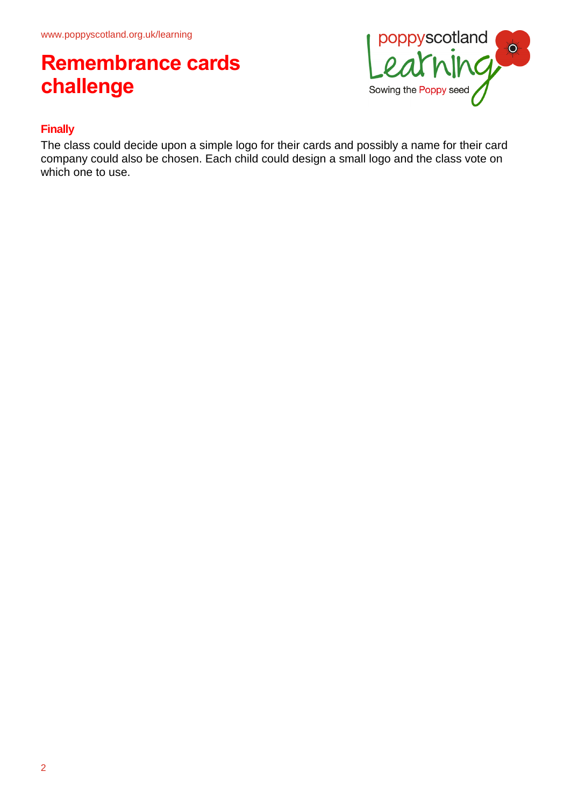

### **Finally**

The class could decide upon a simple logo for their cards and possibly a name for their card company could also be chosen. Each child could design a small logo and the class vote on which one to use.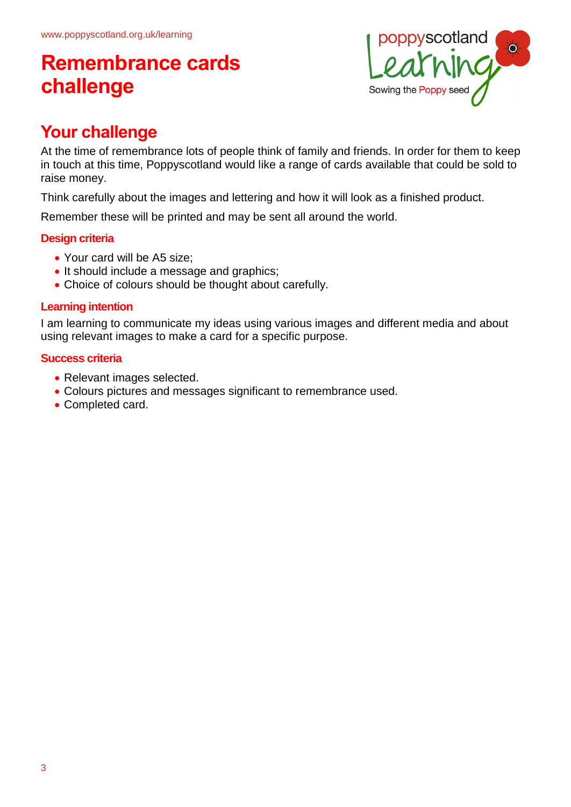

## **Your challenge**

At the time of remembrance lots of people think of family and friends. In order for them to keep in touch at this time, Poppyscotland would like a range of cards available that could be sold to raise money.

Think carefully about the images and lettering and how it will look as a finished product.

Remember these will be printed and may be sent all around the world.

### **Design criteria**

- Your card will be A5 size;
- It should include a message and graphics;
- Choice of colours should be thought about carefully.

### **Learning intention**

I am learning to communicate my ideas using various images and different media and about using relevant images to make a card for a specific purpose.

#### **Success criteria**

- Relevant images selected.
- Colours pictures and messages significant to remembrance used.
- Completed card.